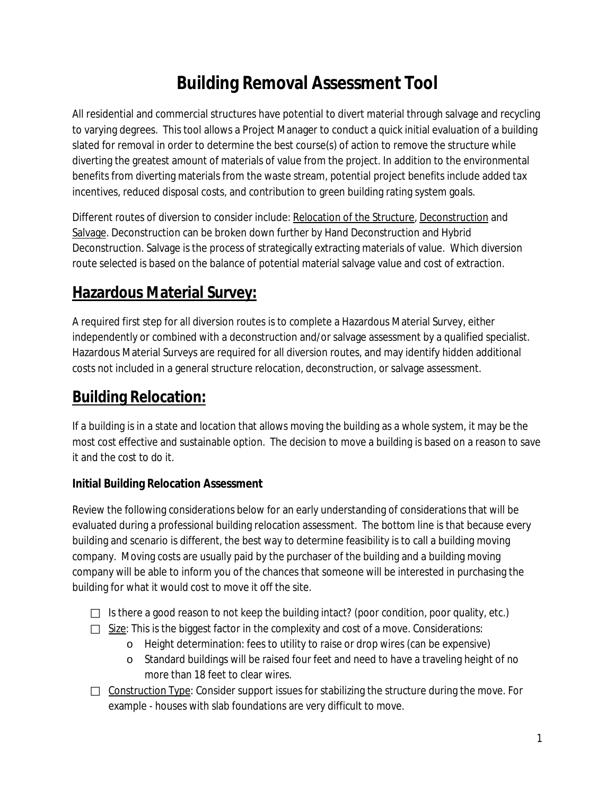# **Building Removal Assessment Tool**

All residential and commercial structures have potential to divert material through salvage and recycling to varying degrees. This tool allows a Project Manager to conduct a quick initial evaluation of a building slated for removal in order to determine the best course(s) of action to remove the structure while diverting the greatest amount of materials of value from the project. In addition to the environmental benefits from diverting materials from the waste stream, potential project benefits include added tax incentives, reduced disposal costs, and contribution to green building rating system goals.

Different routes of diversion to consider include: Relocation of the Structure, Deconstruction and Salvage. Deconstruction can be broken down further by Hand Deconstruction and Hybrid Deconstruction. Salvage is the process of strategically extracting materials of value. Which diversion route selected is based on the balance of potential material salvage value and cost of extraction.

# **Hazardous Material Survey:**

A required first step for all diversion routes is to complete a Hazardous Material Survey, either independently or combined with a deconstruction and/or salvage assessment by a qualified specialist. Hazardous Material Surveys are required for all diversion routes, and may identify hidden additional costs not included in a general structure relocation, deconstruction, or salvage assessment.

## **Building Relocation:**

If a building is in a state and location that allows moving the building as a whole system, it may be the most cost effective and sustainable option. The decision to move a building is based on a reason to save it and the cost to do it.

### **Initial Building Relocation Assessment**

Review the following considerations below for an early understanding of considerations that will be evaluated during a professional building relocation assessment. The bottom line is that because every building and scenario is different, the best way to determine feasibility is to call a building moving company. Moving costs are usually paid by the purchaser of the building and a building moving company will be able to inform you of the chances that someone will be interested in purchasing the building for what it would cost to move it off the site.

- $\Box$  Is there a good reason to not keep the building intact? (poor condition, poor quality, etc.)
- $\Box$  Size: This is the biggest factor in the complexity and cost of a move. Considerations:
	- o Height determination: fees to utility to raise or drop wires (can be expensive)
	- o Standard buildings will be raised four feet and need to have a traveling height of no more than 18 feet to clear wires.
- $\Box$  Construction Type: Consider support issues for stabilizing the structure during the move. For example - houses with slab foundations are very difficult to move.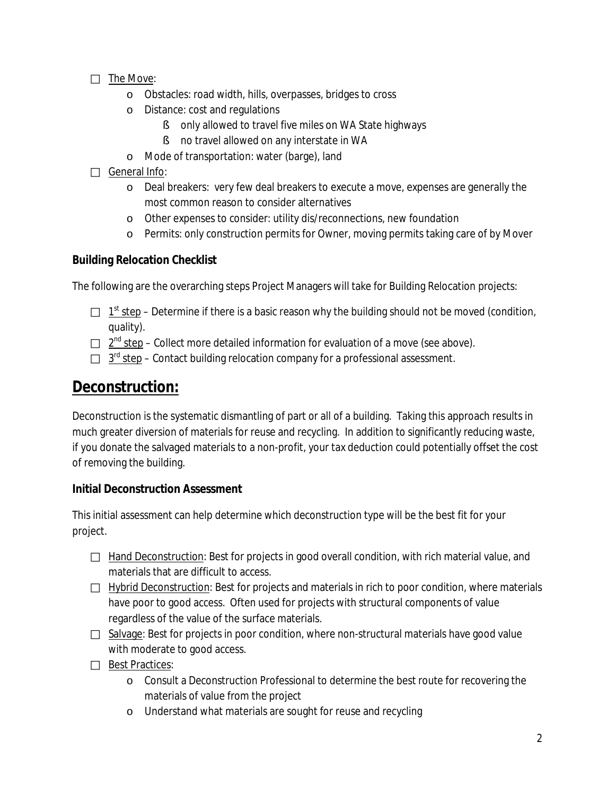- $\Box$  The Move:
	- o Obstacles: road width, hills, overpasses, bridges to cross
	- o Distance: cost and regulations
		- § only allowed to travel five miles on WA State highways
		- § no travel allowed on any interstate in WA
	- o Mode of transportation: water (barge), land
- $\Box$  General Info:
	- o Deal breakers: very few deal breakers to execute a move, expenses are generally the most common reason to consider alternatives
	- o Other expenses to consider: utility dis/reconnections, new foundation
	- o Permits: only construction permits for Owner, moving permits taking care of by Mover

#### **Building Relocation Checklist**

The following are the overarching steps Project Managers will take for Building Relocation projects:

- $\Box$  1<sup>st</sup> step Determine if there is a basic reason why the building should not be moved (condition, quality).
- $\Box$   $2^{nd}$  step Collect more detailed information for evaluation of a move (see above).
- $\Box$  3<sup>rd</sup> step Contact building relocation company for a professional assessment.

### **Deconstruction:**

Deconstruction is the systematic dismantling of part or all of a building. Taking this approach results in much greater diversion of materials for reuse and recycling. In addition to significantly reducing waste, if you donate the salvaged materials to a non-profit, your [tax deduction](http://www.resourceyard.org/mat_donations.php#tax) could potentially offset the cost of removing the building.

#### **Initial Deconstruction Assessment**

This initial assessment can help determine which deconstruction type will be the best fit for your project.

- $\Box$  Hand Deconstruction: Best for projects in good overall condition, with rich material value, and materials that are difficult to access.
- $\Box$  Hybrid Deconstruction: Best for projects and materials in rich to poor condition, where materials have poor to good access. Often used for projects with structural components of value regardless of the value of the surface materials.
- $\Box$  Salvage: Best for projects in poor condition, where non-structural materials have good value with moderate to good access.
- $\Box$  Best Practices:
	- o Consult a Deconstruction Professional to determine the best route for recovering the materials of value from the project
	- o Understand what materials are sought for reuse and recycling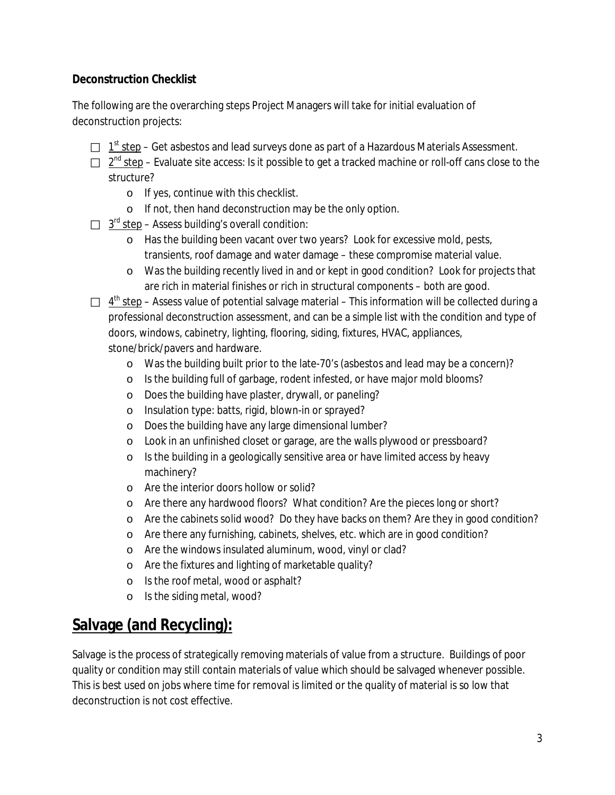#### **Deconstruction Checklist**

The following are the overarching steps Project Managers will take for initial evaluation of deconstruction projects:

- $\Box$  1<sup>st</sup> step Get asbestos and lead surveys done as part of a Hazardous Materials Assessment.
- $\Box$   $2^{nd}$  step Evaluate site access: Is it possible to get a tracked machine or roll-off cans close to the structure?
	- o If yes, continue with this checklist.
	- o If not, then hand deconstruction may be the only option.
- $\Box$  3<sup>rd</sup> step Assess building's overall condition:
	- o Has the building been vacant over two years? Look for excessive mold, pests, transients, roof damage and water damage – these compromise material value.
	- o Was the building recently lived in and or kept in good condition? Look for projects that are rich in material finishes or rich in structural components – both are good.
- $\Box$  4<sup>th</sup> step Assess value of potential salvage material This information will be collected during a professional deconstruction assessment, and can be a simple list with the condition and type of doors, windows, cabinetry, lighting, flooring, siding, fixtures, HVAC, appliances, stone/brick/pavers and hardware.
	- o Was the building built prior to the late-70's (asbestos and lead may be a concern)?
	- o Is the building full of garbage, rodent infested, or have major mold blooms?
	- o Does the building have plaster, drywall, or paneling?
	- o Insulation type: batts, rigid, blown-in or sprayed?
	- o Does the building have any large dimensional lumber?
	- o Look in an unfinished closet or garage, are the walls plywood or pressboard?
	- o Is the building in a geologically sensitive area or have limited access by heavy machinery?
	- o Are the interior doors hollow or solid?
	- o Are there any hardwood floors? What condition? Are the pieces long or short?
	- o Are the cabinets solid wood? Do they have backs on them? Are they in good condition?
	- o Are there any furnishing, cabinets, shelves, etc. which are in good condition?
	- o Are the windows insulated aluminum, wood, vinyl or clad?
	- o Are the fixtures and lighting of marketable quality?
	- o Is the roof metal, wood or asphalt?
	- o Is the siding metal, wood?

### **Salvage (and Recycling):**

Salvage is the process of strategically removing materials of value from a structure. Buildings of poor quality or condition may still contain materials of value which should be salvaged whenever possible. This is best used on jobs where time for removal is limited or the quality of material is so low that deconstruction is not cost effective.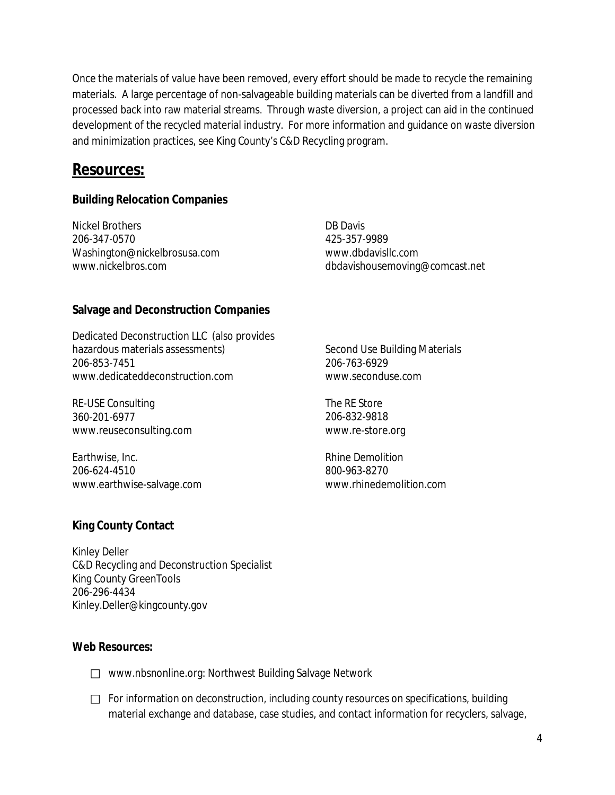Once the materials of value have been removed, every effort should be made to recycle the remaining materials. A large percentage of non-salvageable building materials can be diverted from a landfill and processed back into raw material streams. Through waste diversion, a project can aid in the continued development of the recycled material industry. For more information and guidance on waste diversion and minimization practices, see King County's C&D Recycling program.

### **Resources:**

#### **Building Relocation Companies**

Nickel Brothers 206-347-0570 Washington@nickelbrosusa.com www.nickelbros.com

DB Davis 425-357-9989 www.dbdavisllc.com dbdavishousemoving@comcast.net

#### **Salvage and Deconstruction Companies**

Dedicated Deconstruction LLC (also provides hazardous materials assessments) 206-853-7451 www.dedicateddeconstruction.com

RE-USE Consulting 360-201-6977 www.reuseconsulting.com

Earthwise, Inc. 206-624-4510 www.earthwise-salvage.com

Second Use Building Materials 206-763-6929 [www.seconduse.com](http://www.seconduse.com/)

The RE Store 206-832-9818 [www.re-store.org](http://www.re-store.org/)

Rhine Demolition 800-963-8270 www.rhinedemolition.com

#### **King County Contact**

Kinley Deller C&D Recycling and Deconstruction Specialist King County GreenTools 206-296-4434 Kinley.Deller@kingcounty.gov

#### **Web Resources:**

- □ www.nbsnonline.org: Northwest Building Salvage Network
- $\Box$  For information on deconstruction, including county resources on specifications, building material exchange and database, case studies, and contact information for recyclers, salvage,